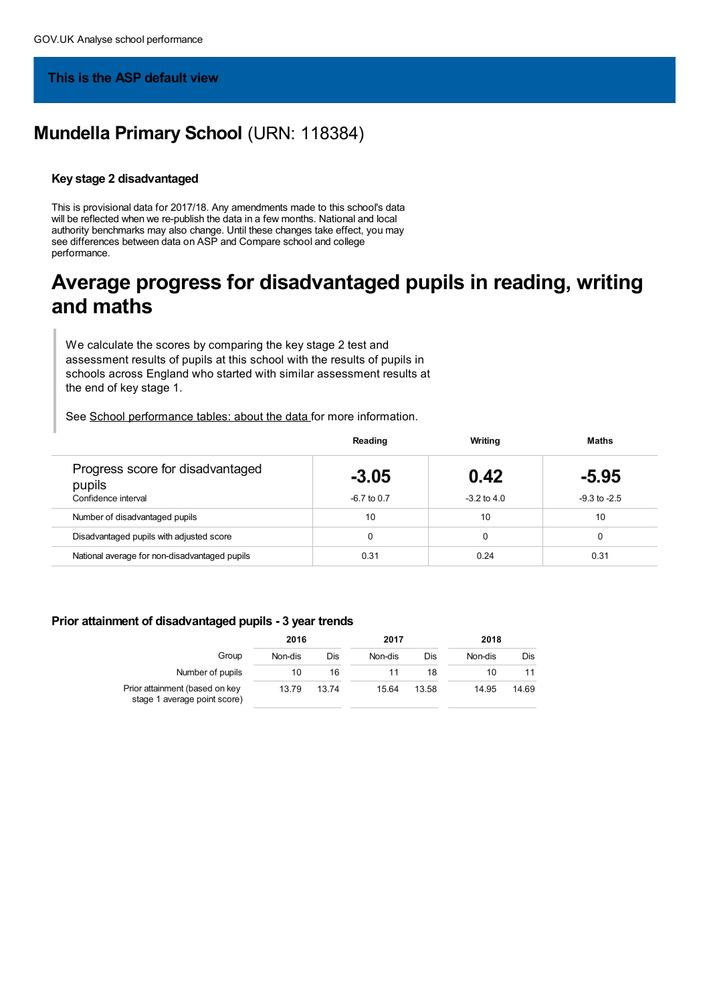## **This is the ASP default view**

# **Mundella Primary School** (URN: 118384)

#### **Key stage 2 disadvantaged**

This is provisional data for 2017/18. Any amendments made to this school's data will be reflected when we re-publish the data in a few months. National and local authority benchmarks may also change. Until these changes take effect, you may see differences between data on ASP and Compare school and college performance.

# **Average progress for disadvantaged pupils in reading, writing and maths**

We calculate the scores by comparing the key stage 2 test and assessment results of pupils at this school with the results of pupils in schools across England who started with similar assessment results at the end of key stage 1.

See School [performance](https://www.gov.uk/government/collections/school-performance-tables-about-the-data) tables: about the data for more information.

|                                                                   | Reading                  | Writing                 | Maths                       |
|-------------------------------------------------------------------|--------------------------|-------------------------|-----------------------------|
| Progress score for disadvantaged<br>pupils<br>Confidence interval | $-3.05$<br>$-6.7$ to 0.7 | 0.42<br>$-3.2$ to $4.0$ | $-5.95$<br>$-9.3$ to $-2.5$ |
|                                                                   |                          |                         |                             |
| Number of disadvantaged pupils                                    | 10                       | 10                      | 10                          |
| Disadvantaged pupils with adjusted score                          |                          | $\Omega$                |                             |
| National average for non-disadvantaged pupils                     | 0.31                     | 0.24                    | 0.31                        |

#### **Prior attainment of disadvantaged pupils - 3 year trends**

|                                                                | 2016    |       | 2017    |       | 2018    |       |  |
|----------------------------------------------------------------|---------|-------|---------|-------|---------|-------|--|
| Group                                                          | Non-dis | Dis   | Non-dis | Dis   | Non-dis | Dis   |  |
| Number of pupils                                               | 10      | 16    |         | 18    | 10      |       |  |
| Prior attainment (based on key<br>stage 1 average point score) | 13.79   | 13.74 | 15.64   | 13.58 | 14.95   | 14.69 |  |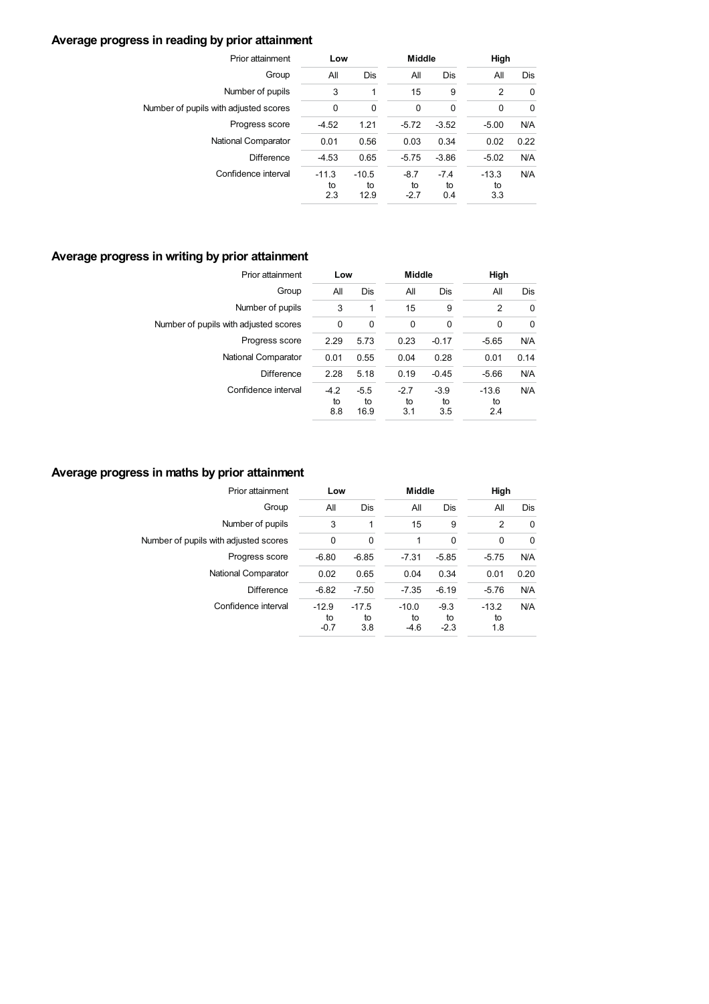# **Average progress in reading by prior attainment**

| Prior attainment                      | Low                  |                       | <b>Middle</b>          |                     | High                 |             |
|---------------------------------------|----------------------|-----------------------|------------------------|---------------------|----------------------|-------------|
| Group                                 | All                  | Dis                   | All                    | Dis                 | All                  | Dis         |
| Number of pupils                      | 3                    | 1                     | 15                     | 9                   | $\overline{2}$       | 0           |
| Number of pupils with adjusted scores | $\mathbf 0$          | 0                     | $\mathbf 0$            | 0                   | $\mathbf 0$          | $\mathbf 0$ |
| Progress score                        | $-4.52$              | 1.21                  | $-5.72$                | $-3.52$             | $-5.00$              | N/A         |
| National Comparator                   | 0.01                 | 0.56                  | 0.03                   | 0.34                | 0.02                 | 0.22        |
| <b>Difference</b>                     | $-4.53$              | 0.65                  | $-5.75$                | $-3.86$             | $-5.02$              | N/A         |
| Confidence interval                   | $-11.3$<br>to<br>2.3 | $-10.5$<br>to<br>12.9 | $-8.7$<br>to<br>$-2.7$ | $-7.4$<br>to<br>0.4 | $-13.3$<br>to<br>3.3 | N/A         |

# **Average progress in writing by prior attainment**

| Prior attainment                      | Low                 |                      | <b>Middle</b>       |                     |                      | High |  |
|---------------------------------------|---------------------|----------------------|---------------------|---------------------|----------------------|------|--|
| Group                                 | All                 | Dis                  | All                 | Dis                 | All                  | Dis  |  |
| Number of pupils                      | 3                   | 1                    | 15                  | 9                   | 2                    | 0    |  |
| Number of pupils with adjusted scores | 0                   | $\Omega$             | 0                   | 0                   | 0                    | 0    |  |
| Progress score                        | 2.29                | 5.73                 | 0.23                | $-0.17$             | $-5.65$              | N/A  |  |
| National Comparator                   | 0.01                | 0.55                 | 0.04                | 0.28                | 0.01                 | 0.14 |  |
| <b>Difference</b>                     | 2.28                | 5.18                 | 0.19                | $-0.45$             | $-5.66$              | N/A  |  |
| Confidence interval                   | $-4.2$<br>to<br>8.8 | $-5.5$<br>to<br>16.9 | $-2.7$<br>to<br>3.1 | $-3.9$<br>to<br>3.5 | $-13.6$<br>to<br>2.4 | N/A  |  |

## **Average progress in maths by prior attainment**

| Prior attainment                      | Low                     |                      | <b>Middle</b>           |                        | High                 |             |
|---------------------------------------|-------------------------|----------------------|-------------------------|------------------------|----------------------|-------------|
| Group                                 | All                     | Dis                  | All                     | Dis                    | All                  | Dis         |
| Number of pupils                      | 3                       |                      | 15                      | 9                      | 2                    | 0           |
| Number of pupils with adjusted scores | $\mathbf 0$             | $\Omega$             | 1                       | $\mathbf 0$            | $\mathbf 0$          | $\mathbf 0$ |
| Progress score                        | $-6.80$                 | $-6.85$              | $-7.31$                 | $-5.85$                | $-5.75$              | N/A         |
| National Comparator                   | 0.02                    | 0.65                 | 0.04                    | 0.34                   | 0.01                 | 0.20        |
| <b>Difference</b>                     | $-6.82$                 | $-7.50$              | $-7.35$                 | $-6.19$                | $-5.76$              | N/A         |
| Confidence interval                   | $-12.9$<br>to<br>$-0.7$ | $-17.5$<br>to<br>3.8 | $-10.0$<br>to<br>$-4.6$ | $-9.3$<br>to<br>$-2.3$ | $-13.2$<br>to<br>1.8 | N/A         |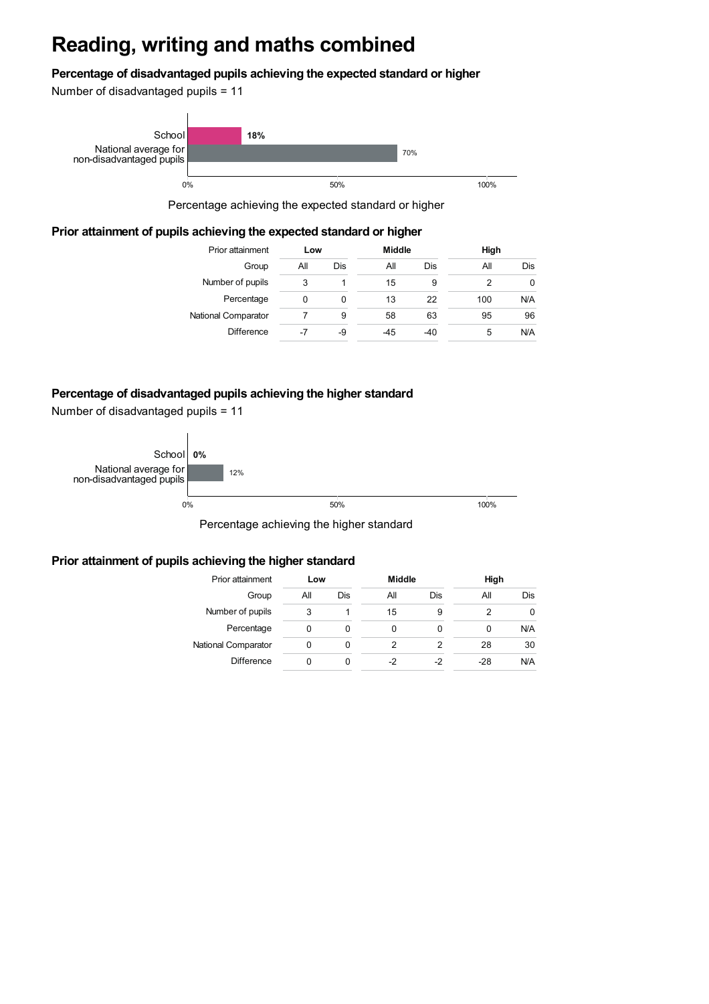# **Reading, writing and maths combined**

### **Percentage of disadvantaged pupils achieving the expected standard or higher**

Number of disadvantaged pupils = 11



Percentage achieving the expected standard or higher

### **Prior attainment of pupils achieving the expected standard or higher**

| Prior attainment    | Low |     | <b>Middle</b> |       | High |     |
|---------------------|-----|-----|---------------|-------|------|-----|
| Group               | All | Dis | All           | Dis   | Αll  | Dis |
| Number of pupils    | 3   |     | 15            | 9     | 2    | 0   |
| Percentage          | 0   | 0   | 13            | 22    | 100  | N/A |
| National Comparator |     | 9   | 58            | 63    | 95   | 96  |
| <b>Difference</b>   | -7  | -9  | $-45$         | $-40$ | 5    | N/A |

### **Percentage of disadvantaged pupils achieving the higher standard**

Number of disadvantaged pupils = 11



Percentage achieving the higher standard

#### **Prior attainment of pupils achieving the higher standard**

| Prior attainment    | Low |     | <b>Middle</b> |     | High  |     |
|---------------------|-----|-----|---------------|-----|-------|-----|
| Group               | All | Dis | All           | Dis | All   | Dis |
| Number of pupils    | 3   |     | 15            | 9   |       | 0   |
| Percentage          | 0   | O   |               | 0   | 0     | N/A |
| National Comparator | 0   |     |               | 2   | 28    | 30  |
| <b>Difference</b>   | O   | O   | -2            | -2  | $-28$ | N/A |